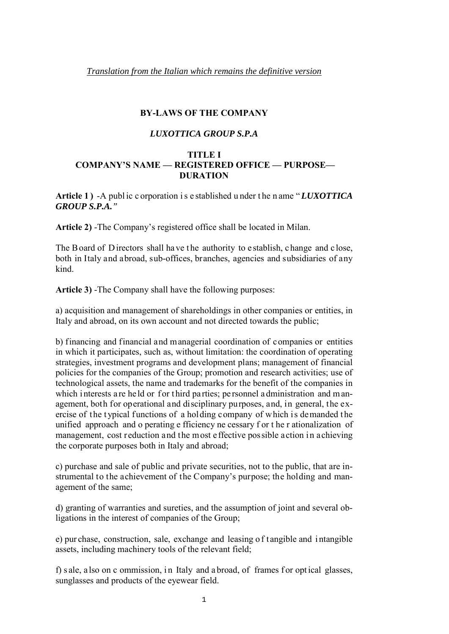#### **BY-LAWS OF THE COMPANY**

#### *LUXOTTICA GROUP S.P.A*

#### **TITLE I**

## **COMPANY'S NAME — REGISTERED OFFICE — PURPOSE— DURATION**

**Article 1 )** -A publ ic c orporation i s e stablished u nder t he n ame "*LUXOTTICA GROUP S.P.A."* 

**Article 2)** -The Company's registered office shall be located in Milan.

The Board of Directors shall have the authority to establish, change and close, both in Italy and abroad, sub-offices, branches, agencies and subsidiaries of any kind.

**Article 3)** -The Company shall have the following purposes:

a) acquisition and management of shareholdings in other companies or entities, in Italy and abroad, on its own account and not directed towards the public;

b) financing and financial and managerial coordination of companies or entities in which it participates, such as, without limitation: the coordination of operating strategies, investment programs and development plans; management of financial policies for the companies of the Group; promotion and research activities; use of technological assets, the name and trademarks for the benefit of the companies in which i nterests a re held or f or third parties; personnel a dministration and management, both for operational and disciplinary purposes, and, in general, the exercise of the t ypical functions of a holding company of which is demanded the unified approach and o perating e fficiency ne cessary f or t he r ationalization of management, cost reduction and the most effective possible action in achieving the corporate purposes both in Italy and abroad;

c) purchase and sale of public and private securities, not to the public, that are instrumental to the achievement of the Company's purpose; the holding and management of the same;

d) granting of warranties and sureties, and the assumption of joint and several obligations in the interest of companies of the Group;

e) pur chase, construction, sale, exchange and leasing o f t angible and i ntangible assets, including machinery tools of the relevant field;

f) s ale, a lso on c ommission, in Italy and a broad, of frames for optical glasses, sunglasses and products of the eyewear field.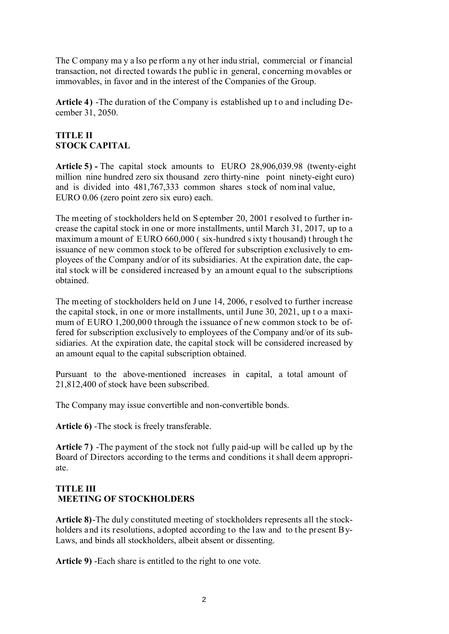The C ompany ma y a lso pe rform a ny ot her indu strial, commercial or f inancial transaction, not directed towards the public in general, concerning movables or immovables, in favor and in the interest of the Companies of the Group.

Article 4) -The duration of the Company is established up to and including December 31, 2050.

# **TITLE II STOCK CAPITAL**

**Article 5) -** The capital stock amounts to EURO 28,906,039.98 (twenty-eight million nine hundred zero six thousand zero thirty-nine point ninety-eight euro) and is divided into 481,767,333 common shares stock of nominal value, EURO 0.06 (zero point zero six euro) each.

The meeting of stockholders held on S eptember 20, 2001 r esolved to further increase the capital stock in one or more installments, until March 31, 2017, up to a maximum a mount of E URO 660,000 ( six-hundred s ixty t housand) t hrough t he issuance of new common stock to be offered for subscription exclusively to employees of the Company and/or of its subsidiaries. At the expiration date, the capital stock will be considered increased b y an amount equal to the subscriptions obtained.

The meeting of stockholders held on J une 14, 2006, r esolved to further increase the capital stock, in one or more installments, until June 30, 2021, up t o a maximum of EURO 1,200,000 through the issuance of new common stock to be offered for subscription exclusively to employees of the Company and/or of its subsidiaries. At the expiration date, the capital stock will be considered increased by an amount equal to the capital subscription obtained.

Pursuant to the above-mentioned increases in capital, a total amount of 21,812,400 of stock have been subscribed.

The Company may issue convertible and non-convertible bonds.

**Article 6)** -The stock is freely transferable.

**Article 7)** -The payment of the stock not fully paid-up will be called up by the Board of Directors according to the terms and conditions it shall deem appropriate.

# **TITLE III MEETING OF STOCKHOLDERS**

**Article 8)**-The duly constituted meeting of stockholders represents all the stockholders and its resolutions, adopted according to the law and to the present By-Laws, and binds all stockholders, albeit absent or dissenting.

**Article 9)** -Each share is entitled to the right to one vote.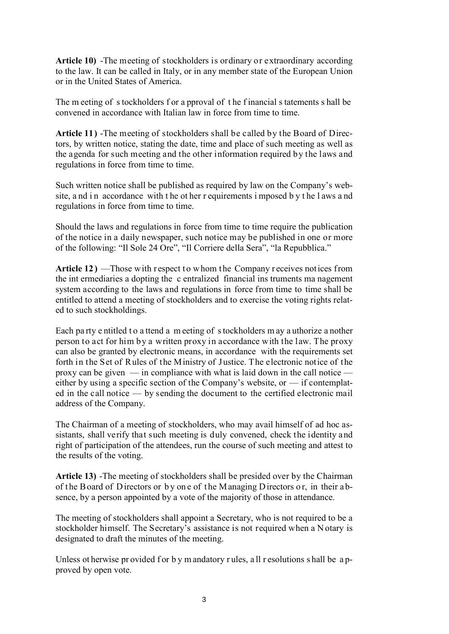**Article 10)** -The meeting of stockholders is ordinary or extraordinary according to the law. It can be called in Italy, or in any member state of the European Union or in the United States of America.

The m eeting of s tockholders f or a pproval of the f inancial s tatements s hall be convened in accordance with Italian law in force from time to time.

**Article 11)** -The meeting of stockholders shall be called by the Board of Directors, by written notice, stating the date, time and place of such meeting as well as the agenda for such meeting and the other information required by the laws and regulations in force from time to time.

Such written notice shall be published as required by law on the Company's website, and in accordance with the other r equirements imposed by the laws and regulations in force from time to time.

Should the laws and regulations in force from time to time require the publication of the notice in a daily newspaper, such notice may be published in one or more of the following: "Il Sole 24 Ore", "Il Corriere della Sera", "la Repubblica."

**Article 12 )** —Those with respect to whom the Company r eceives notices from the int ermediaries a dopting the c entralized financial ins truments ma nagement system according to the laws and regulations in force from time to time shall be entitled to attend a meeting of stockholders and to exercise the voting rights related to such stockholdings.

Each party e ntitled to a ttend a m eeting of s tockholders m ay a uthorize a nother person to act for him by a written proxy in accordance with the law. The proxy can also be granted by electronic means, in accordance with the requirements set forth in the Set of Rules of the Ministry of Justice. The electronic notice of the proxy can be given — in compliance with what is laid down in the call notice either by using a specific section of the Company's website, or — if contemplated in the call notice — by sending the document to the certified electronic mail address of the Company.

The Chairman of a meeting of stockholders, who may avail himself of ad hoc assistants, shall verify that such meeting is duly convened, check the identity and right of participation of the attendees, run the course of such meeting and attest to the results of the voting.

**Article 13)** -The meeting of stockholders shall be presided over by the Chairman of t he Board of D irectors or b y on e of t he M anaging D irectors o r, in their a bsence, by a person appointed by a vote of the majority of those in attendance.

The meeting of stockholders shall appoint a Secretary, who is not required to be a stockholder himself. The Secretary's assistance is not required when a N otary is designated to draft the minutes of the meeting.

Unless ot herwise pr ovided f or b y m andatory rules, all resolutions s hall be a pproved by open vote.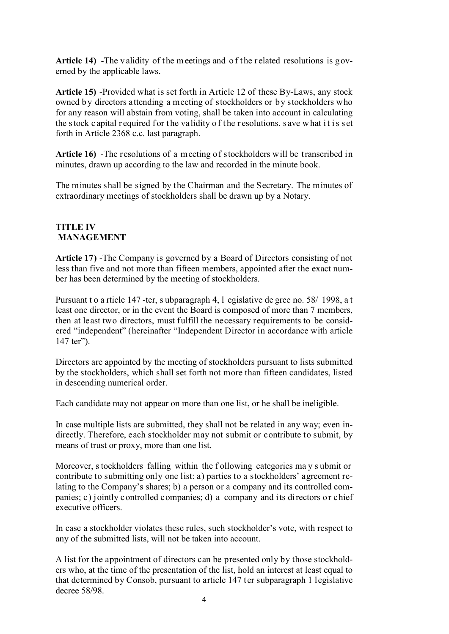Article 14) -The validity of the meetings and of the related resolutions is governed by the applicable laws.

**Article 15)** -Provided what is set forth in Article 12 of these By-Laws, any stock owned by directors attending a meeting of stockholders or by stockholders who for any reason will abstain from voting, shall be taken into account in calculating the stock c apital r equired for the validity of the r esolutions, s ave what it is set forth in Article 2368 c.c. last paragraph.

**Article 16)** -The resolutions of a meeting of stockholders will be transcribed in minutes, drawn up according to the law and recorded in the minute book.

The minutes shall be signed by the Chairman and the Secretary. The minutes of extraordinary meetings of stockholders shall be drawn up by a Notary.

### **TITLE IV MANAGEMENT**

**Article 17)** -The Company is governed by a Board of Directors consisting of not less than five and not more than fifteen members, appointed after the exact number has been determined by the meeting of stockholders.

Pursuant t o a rticle 147 -ter, s ubparagraph 4, l egislative de gree no. 58/ 1998, a t least one director, or in the event the Board is composed of more than 7 members, then at least two directors, must fulfill the necessary requirements to be considered "independent" (hereinafter "Independent Director in accordance with article 147 ter").

Directors are appointed by the meeting of stockholders pursuant to lists submitted by the stockholders, which shall set forth not more than fifteen candidates, listed in descending numerical order.

Each candidate may not appear on more than one list, or he shall be ineligible.

In case multiple lists are submitted, they shall not be related in any way; even indirectly. Therefore, each stockholder may not submit or contribute to submit, by means of trust or proxy, more than one list.

Moreover, s tockholders falling within the f ollowing categories ma y s ubmit or contribute to submitting only one list: a) parties to a stockholders' agreement relating to the Company's shares; b) a person or a company and its controlled companies; c) jointly controlled companies; d) a company and its directors or chief executive officers.

In case a stockholder violates these rules, such stockholder's vote, with respect to any of the submitted lists, will not be taken into account.

A list for the appointment of directors can be presented only by those stockholders who, at the time of the presentation of the list, hold an interest at least equal to that determined by Consob, pursuant to article 147 ter subparagraph 1 legislative decree 58/98.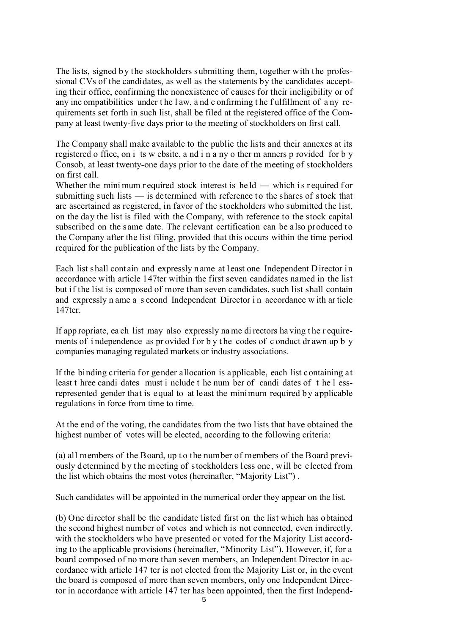The lists, signed by the stockholders submitting them, together with the professional CVs of the candidates, as well as the statements by the candidates accepting their office, confirming the nonexistence of causes for their ineligibility or of any inc ompatibilities under t he l aw, a nd c onfirming t he f ulfillment of a ny requirements set forth in such list, shall be filed at the registered office of the Company at least twenty-five days prior to the meeting of stockholders on first call.

The Company shall make available to the public the lists and their annexes at its registered o ffice, on i ts w ebsite, a nd i n a ny o ther m anners p rovided for b y Consob, at least twenty-one days prior to the date of the meeting of stockholders on first call.

Whether the mini mum r equired stock interest is  $hel -$  which is r equired for submitting such lists — is determined with reference to the shares of stock that are ascertained as registered, in favor of the stockholders who submitted the list, on the day the list is filed with the Company, with reference to the stock capital subscribed on the same date. The relevant certification can be also produced to the Company after the list filing, provided that this occurs within the time period required for the publication of the lists by the Company.

Each list shall contain and expressly name at least one Independent Director in accordance with article 147ter within the first seven candidates named in the list but if the list is composed of more than seven candidates, such list shall contain and expressly n ame a s econd Independent Director i n accordance w ith ar ticle 147ter.

If app ropriate, ea ch list may also expressly na me di rectors ha ving t he r equirements of independence as provided for by the codes of c onduct dr awn up b y companies managing regulated markets or industry associations.

If the binding criteria for gender allocation is applicable, each list containing at least t hree candi dates must i nclude t he num ber of candi dates of t he l essrepresented gender that is equal to at least the minimum required by applicable regulations in force from time to time.

At the end of the voting, the candidates from the two lists that have obtained the highest number of votes will be elected, according to the following criteria:

(a) all members of the Board, up t o the number of members of the Board previously determined b y the meeting of stockholders less one, will be elected from the list which obtains the most votes (hereinafter, "Majority List") .

Such candidates will be appointed in the numerical order they appear on the list.

(b) One director shall be the candidate listed first on the list which has obtained the second highest number of votes and which is not connected, even indirectly, with the stockholders who have presented or voted for the Majority List according to the applicable provisions (hereinafter, "Minority List"). However, if, for a board composed of no more than seven members, an Independent Director in accordance with article 147 ter is not elected from the Majority List or, in the event the board is composed of more than seven members, only one Independent Director in accordance with article 147 ter has been appointed, then the first Independ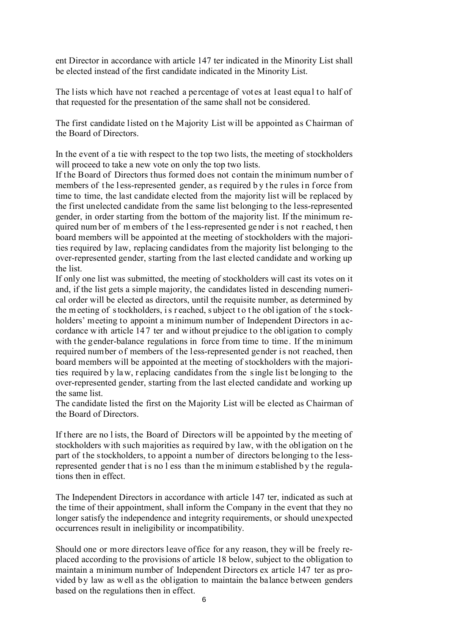ent Director in accordance with article 147 ter indicated in the Minority List shall be elected instead of the first candidate indicated in the Minority List.

The lists which have not reached a percentage of votes at least equal to half of that requested for the presentation of the same shall not be considered.

The first candidate listed on t he Majority List will be appointed as Chairman of the Board of Directors.

In the event of a tie with respect to the top two lists, the meeting of stockholders will proceed to take a new vote on only the top two lists.

If the Board of Directors thus formed does not contain the minimum number of members of the less-represented gender, as required by the rules in force from time to time, the last candidate elected from the majority list will be replaced by the first unelected candidate from the same list belonging to the less-represented gender, in order starting from the bottom of the majority list. If the minimum required num ber of m embers of t he l ess-represented ge nder i s not r eached, t hen board members will be appointed at the meeting of stockholders with the majorities required by law, replacing candidates from the majority list belonging to the over-represented gender, starting from the last elected candidate and working up the list.

If only one list was submitted, the meeting of stockholders will cast its votes on it and, if the list gets a simple majority, the candidates listed in descending numerical order will be elected as directors, until the requisite number, as determined by the m eeting of s tockholders, i s r eached, s ubject t o t he obl igation of t he s tockholders' meeting to appoint a minimum number of Independent Directors in accordance with article 14 7 ter and without prejudice to the obligation to comply with the gender-balance regulations in force from time to time. If the minimum required number of members of the less-represented gender is not reached, then board members will be appointed at the meeting of stockholders with the majorities required b y la w, r eplacing candidates f rom the s ingle lis t be longing to the over-represented gender, starting from the last elected candidate and working up the same list.

The candidate listed the first on the Majority List will be elected as Chairman of the Board of Directors.

If there are no l ists, the Board of Directors will be appointed by the meeting of stockholders with such majorities as required by law, with the obligation on t he part of the stockholders, to appoint a number of directors belonging to the lessrepresented gender that is no l ess than the m inimum e stablished by the regulations then in effect.

The Independent Directors in accordance with article 147 ter, indicated as such at the time of their appointment, shall inform the Company in the event that they no longer satisfy the independence and integrity requirements, or should unexpected occurrences result in ineligibility or incompatibility.

Should one or more directors leave office for any reason, they will be freely replaced according to the provisions of article 18 below, subject to the obligation to maintain a minimum number of Independent Directors ex article 147 ter as provided by law as well as the obligation to maintain the balance between genders based on the regulations then in effect.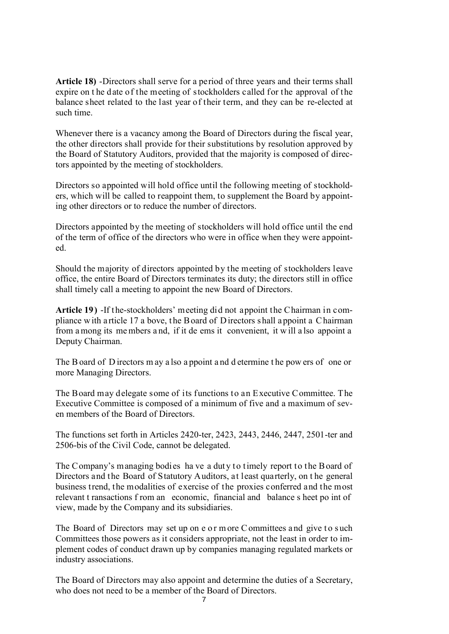**Article 18)** -Directors shall serve for a period of three years and their terms shall expire on t he date of the meeting of stockholders called for the approval of the balance sheet related to the last year of their term, and they can be re-elected at such time.

Whenever there is a vacancy among the Board of Directors during the fiscal year, the other directors shall provide for their substitutions by resolution approved by the Board of Statutory Auditors, provided that the majority is composed of directors appointed by the meeting of stockholders.

Directors so appointed will hold office until the following meeting of stockholders, which will be called to reappoint them, to supplement the Board by appointing other directors or to reduce the number of directors.

Directors appointed by the meeting of stockholders will hold office until the end of the term of office of the directors who were in office when they were appointed.

Should the majority of directors appointed by the meeting of stockholders leave office, the entire Board of Directors terminates its duty; the directors still in office shall timely call a meeting to appoint the new Board of Directors.

**Article 19)** -If the-stockholders' meeting did not appoint the Chairman in compliance w ith a rticle 17 a bove, t he Board of D irectors s hall a ppoint a C hairman from a mong its me mbers a nd, if it de ems it convenient, it w ill a lso appoint a Deputy Chairman.

The B oard of D irectors m ay a lso a ppoint a nd d etermine t he pow ers of one or more Managing Directors.

The Board may delegate some of its functions to an Executive Committee. The Executive Committee is composed of a minimum of five and a maximum of seven members of the Board of Directors.

The functions set forth in Articles 2420-ter, 2423, 2443, 2446, 2447, 2501-ter and 2506-bis of the Civil Code, cannot be delegated.

The Company's managing bodies ha ve a duty to timely report to the Board of Directors and the Board of Statutory Auditors, at least quarterly, on t he general business trend, the modalities of exercise of the proxies conferred and the most relevant t ransactions f rom an economic, financial and balance s heet po int of view, made by the Company and its subsidiaries.

The Board of Directors may set up on e o r m ore C ommittees and give to such Committees those powers as it considers appropriate, not the least in order to implement codes of conduct drawn up by companies managing regulated markets or industry associations.

The Board of Directors may also appoint and determine the duties of a Secretary, who does not need to be a member of the Board of Directors.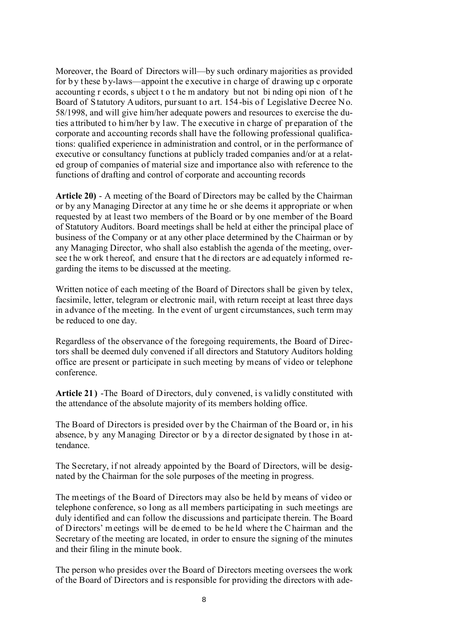Moreover, the Board of Directors will—by such ordinary majorities as provided for b y t hese b y-laws—appoint the executive in charge of dr awing up c orporate accounting r ecords, s ubject t o t he m andatory but not bi nding opi nion of t he Board of Statutory Auditors, pursuant to art. 154-bis of Legislative D ecree No. 58/1998, and will give him/her adequate powers and resources to exercise the duties attributed to him/her by law. The executive in charge of preparation of the corporate and accounting records shall have the following professional qualifications: qualified experience in administration and control, or in the performance of executive or consultancy functions at publicly traded companies and/or at a related group of companies of material size and importance also with reference to the functions of drafting and control of corporate and accounting records

**Article 20)** - A meeting of the Board of Directors may be called by the Chairman or by any Managing Director at any time he or she deems it appropriate or when requested by at least two members of the Board or by one member of the Board of Statutory Auditors. Board meetings shall be held at either the principal place of business of the Company or at any other place determined by the Chairman or by any Managing Director, who shall also establish the agenda of the meeting, oversee the work thereof, and ensure that the di rectors are ad equately informed regarding the items to be discussed at the meeting.

Written notice of each meeting of the Board of Directors shall be given by telex, facsimile, letter, telegram or electronic mail, with return receipt at least three days in advance of the meeting. In the event of urgent circumstances, such term may be reduced to one day.

Regardless of the observance of the foregoing requirements, the Board of Directors shall be deemed duly convened if all directors and Statutory Auditors holding office are present or participate in such meeting by means of video or telephone conference.

**Article 21 )** -The Board of Directors, duly convened, is validly constituted with the attendance of the absolute majority of its members holding office.

The Board of Directors is presided over by the Chairman of the Board or, in his absence, by any M anaging Director or by a director de signated by those in attendance.

The Secretary, if not already appointed by the Board of Directors, will be designated by the Chairman for the sole purposes of the meeting in progress.

The meetings of the Board of Directors may also be held by means of video or telephone conference, so long as all members participating in such meetings are duly identified and can follow the discussions and participate therein. The Board of D irectors' m eetings will be de emed to be he ld where t he C hairman and the Secretary of the meeting are located, in order to ensure the signing of the minutes and their filing in the minute book.

The person who presides over the Board of Directors meeting oversees the work of the Board of Directors and is responsible for providing the directors with ade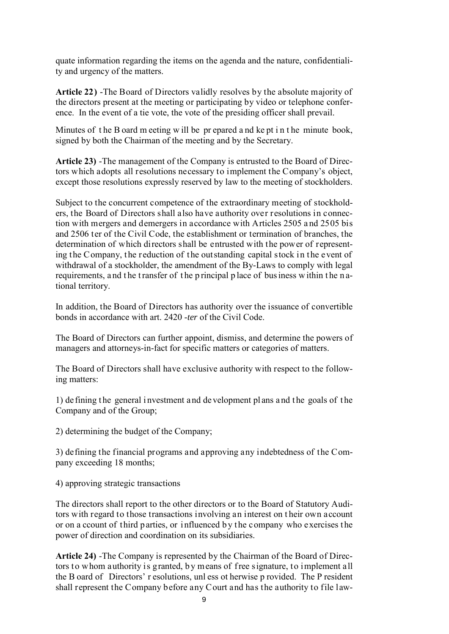quate information regarding the items on the agenda and the nature, confidentiality and urgency of the matters.

**Article 22)** -The Board of Directors validly resolves by the absolute majority of the directors present at the meeting or participating by video or telephone conference. In the event of a tie vote, the vote of the presiding officer shall prevail.

Minutes of t he B oard m eeting w ill be pr epared a nd ke pt i n t he minute book, signed by both the Chairman of the meeting and by the Secretary.

**Article 23)** -The management of the Company is entrusted to the Board of Directors which adopts all resolutions necessary to implement the Company's object, except those resolutions expressly reserved by law to the meeting of stockholders.

Subject to the concurrent competence of the extraordinary meeting of stockholders, the Board of Directors shall also have authority over resolutions in connection with mergers and demergers in accordance with Articles 2505 a nd 2505 bis and 2506 ter of the Civil Code, the establishment or termination of branches, the determination of which directors shall be entrusted with the power of representing the Company, the reduction of the outstanding capital stock in the event of withdrawal of a stockholder, the amendment of the By-Laws to comply with legal requirements, and the transfer of the principal place of bus iness within the national territory.

In addition, the Board of Directors has authority over the issuance of convertible bonds in accordance with art. 2420 -*ter* of the Civil Code.

The Board of Directors can further appoint, dismiss, and determine the powers of managers and attorneys-in-fact for specific matters or categories of matters.

The Board of Directors shall have exclusive authority with respect to the following matters:

1) de fining t he general i nvestment a nd de velopment pl ans a nd t he goals of t he Company and of the Group;

2) determining the budget of the Company;

3) defining the financial programs and approving any indebtedness of the Company exceeding 18 months;

4) approving strategic transactions

The directors shall report to the other directors or to the Board of Statutory Auditors with regard to those transactions involving an interest on t heir own account or on a ccount of third parties, or influenced b y the company who exercises the power of direction and coordination on its subsidiaries.

**Article 24)** -The Company is represented by the Chairman of the Board of Directors to whom authority is granted, b y means of free signature, to implement all the B oard of Directors' r esolutions, unl ess ot herwise p rovided. The P resident shall represent the Company before any Court and has the authority to file law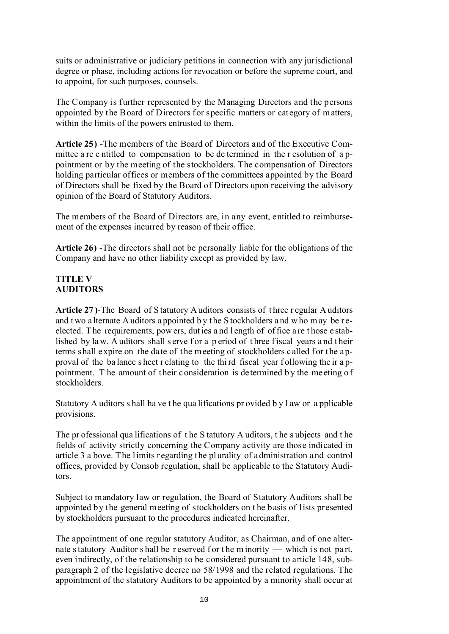suits or administrative or judiciary petitions in connection with any jurisdictional degree or phase, including actions for revocation or before the supreme court, and to appoint, for such purposes, counsels.

The Company is further represented by the Managing Directors and the persons appointed by the Board of Directors for specific matters or category of matters, within the limits of the powers entrusted to them.

**Article 25)** -The members of the Board of Directors and of the Executive Committee a re e ntitled to compensation to be de termined in the r esolution of a ppointment or by the meeting of the stockholders. The compensation of Directors holding particular offices or members of the committees appointed by the Board of Directors shall be fixed by the Board of Directors upon receiving the advisory opinion of the Board of Statutory Auditors.

The members of the Board of Directors are, in any event, entitled to reimbursement of the expenses incurred by reason of their office.

**Article 26)** -The directors shall not be personally liable for the obligations of the Company and have no other liability except as provided by law.

## **TITLE V AUDITORS**

**Article 27 )**-The Board of S tatutory A uditors consists of t hree r egular A uditors and t wo a lternate A uditors a ppointed by the S tockholders a nd w ho m ay be reelected. T he requirements, pow ers, dut ies a nd l ength of of fice a re t hose e stablished by law. A uditors shall s erve for a p eriod of three fiscal years and their terms shall expire on the date of the meeting of stockholders called for the approval of the ba lance s heet r elating to the thi rd fiscal year f ollowing the ir a ppointment. The amount of their consideration is determined by the meeting of stockholders.

Statutory A uditors s hall ha ve t he qua lifications pr ovided b y l aw or a pplicable provisions.

The pr ofessional qua lifications of t he S tatutory A uditors, t he s ubjects and t he fields of activity strictly concerning the Company activity are those indicated in article 3 a bove. The limits regarding the plurality of administration and control offices, provided by Consob regulation, shall be applicable to the Statutory Auditors.

Subject to mandatory law or regulation, the Board of Statutory Auditors shall be appointed by the general meeting of stockholders on t he basis of lists presented by stockholders pursuant to the procedures indicated hereinafter.

The appointment of one regular statutory Auditor, as Chairman, and of one alternate statutory Auditor s hall be reserved f or the m inority — which is not part, even indirectly, of the relationship to be considered pursuant to article 148, subparagraph 2 of the legislative decree no 58/1998 and the related regulations. The appointment of the statutory Auditors to be appointed by a minority shall occur at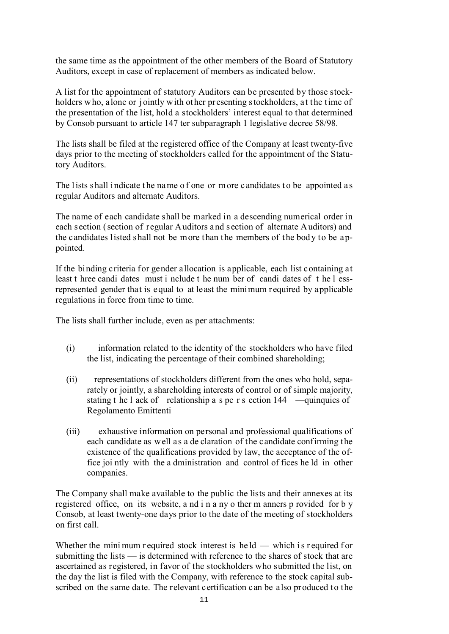the same time as the appointment of the other members of the Board of Statutory Auditors, except in case of replacement of members as indicated below.

A list for the appointment of statutory Auditors can be presented by those stockholders who, alone or jointly with other pr esenting stockholders, at the time of the presentation of the list, hold a stockholders' interest equal to that determined by Consob pursuant to article 147 ter subparagraph 1 legislative decree 58/98.

The lists shall be filed at the registered office of the Company at least twenty-five days prior to the meeting of stockholders called for the appointment of the Statutory Auditors.

The lists shall indicate the name of one or m ore c andidates to be appointed as regular Auditors and alternate Auditors.

The name of each candidate shall be marked in a descending numerical order in each section (section of regular Auditors and section of alternate Auditors) and the candidates listed shall not be more than the members of the bod y to be appointed.

If the binding criteria for gender allocation is applicable, each list containing at least t hree candi dates must i nclude t he num ber of candi dates of t he l essrepresented gender that is equal to at least the minimum required by applicable regulations in force from time to time.

The lists shall further include, even as per attachments:

- (i) information related to the identity of the stockholders who have filed the list, indicating the percentage of their combined shareholding;
- (ii) representations of stockholders different from the ones who hold, separately or jointly, a shareholding interests of control or of simple majority, stating t he l ack of relationship a s pe r s ection 144 —quinquies of Regolamento Emittenti
- (iii) exhaustive information on personal and professional qualifications of each candidate as well as a de claration of the candidate confirming the existence of the qualifications provided by law, the acceptance of the office joi ntly with the a dministration and control of fices he ld in other companies.

The Company shall make available to the public the lists and their annexes at its registered office, on its website, a nd i n a ny o ther m anners p rovided for b y Consob, at least twenty-one days prior to the date of the meeting of stockholders on first call.

Whether the mini mum r equired stock interest is  $hel -$  which is r equired for submitting the lists — is determined with reference to the shares of stock that are ascertained as registered, in favor of the stockholders who submitted the list, on the day the list is filed with the Company, with reference to the stock capital subscribed on the same date. The relevant certification can be also produced to the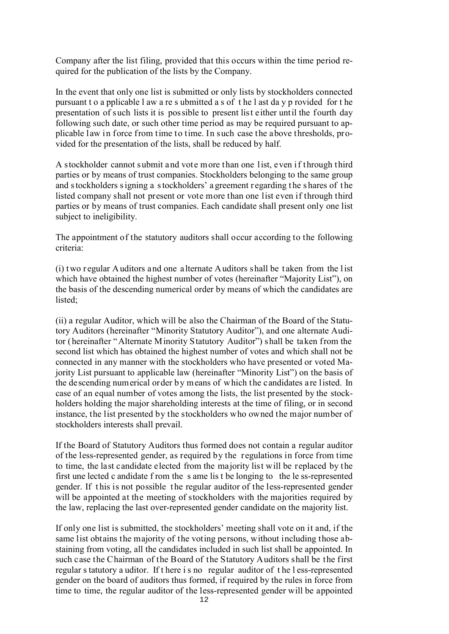Company after the list filing, provided that this occurs within the time period required for the publication of the lists by the Company.

In the event that only one list is submitted or only lists by stockholders connected pursuant t o a pplicable l aw a re s ubmitted a s of t he l ast da y p rovided for t he presentation of such lists it is possible to present list either until the fourth day following such date, or such other time period as may be required pursuant to applicable law in force from time to time. In such case the above thresholds, provided for the presentation of the lists, shall be reduced by half.

A stockholder cannot submit and vote more than one list, even if through third parties or by means of trust companies. Stockholders belonging to the same group and s tockholders s igning a s tockholders' a greement r egarding t he s hares of t he listed company shall not present or vote more than one list even if through third parties or by means of trust companies. Each candidate shall present only one list subject to ineligibility.

The appointment of the statutory auditors shall occur according to the following criteria:

(i) two r egular Auditors and one alternate Auditors shall be t aken from the list which have obtained the highest number of votes (hereinafter "Majority List"), on the basis of the descending numerical order by means of which the candidates are listed;

(ii) a regular Auditor, which will be also the Chairman of the Board of the Statutory Auditors (hereinafter "Minority Statutory Auditor"), and one alternate Auditor (hereinafter "Alternate Minority Statutory Auditor") shall be taken from the second list which has obtained the highest number of votes and which shall not be connected in any manner with the stockholders who have presented or voted Majority List pursuant to applicable law (hereinafter "Minority List") on the basis of the descending numerical order by means of which the candidates are listed. In case of an equal number of votes among the lists, the list presented by the stockholders holding the major shareholding interests at the time of filing, or in second instance, the list presented by the stockholders who owned the major number of stockholders interests shall prevail.

If the Board of Statutory Auditors thus formed does not contain a regular auditor of the less-represented gender, as required by the regulations in force from time to time, the last candidate elected from the majority list will be replaced by the first une lected c andidate f rom the s ame lis t be longing to the le ss-represented gender. If t his is not possible t he regular auditor of the less-represented gender will be appointed at the meeting of stockholders with the majorities required by the law, replacing the last over-represented gender candidate on the majority list.

If only one list is submitted, the stockholders' meeting shall vote on it and, if the same list obtains the majority of the voting persons, without including those abstaining from voting, all the candidates included in such list shall be appointed. In such case the Chairman of the Board of the Statutory Auditors shall be the first regular s tatutory a uditor. If t here i s no regular auditor of t he l ess-represented gender on the board of auditors thus formed, if required by the rules in force from time to time, the regular auditor of the less-represented gender will be appointed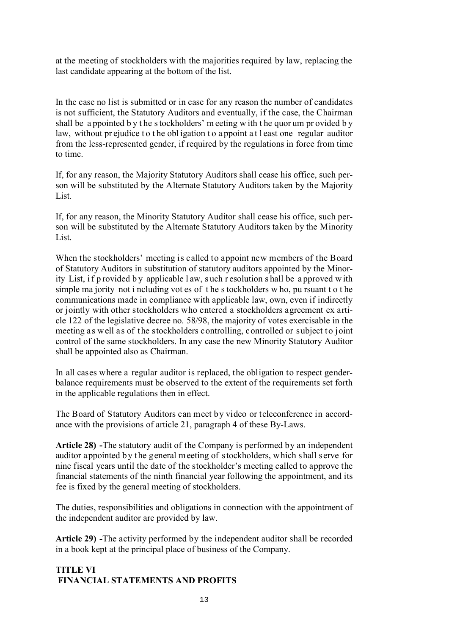at the meeting of stockholders with the majorities required by law, replacing the last candidate appearing at the bottom of the list.

In the case no list is submitted or in case for any reason the number of candidates is not sufficient, the Statutory Auditors and eventually, if the case, the Chairman shall be a ppointed b y t he s tockholders' m eeting w ith t he quor um pr ovided b y law, without pr ejudice to the obligation to a ppoint at least one regular auditor from the less-represented gender, if required by the regulations in force from time to time.

If, for any reason, the Majority Statutory Auditors shall cease his office, such person will be substituted by the Alternate Statutory Auditors taken by the Majority List.

If, for any reason, the Minority Statutory Auditor shall cease his office, such person will be substituted by the Alternate Statutory Auditors taken by the Minority List.

When the stockholders' meeting is called to appoint new members of the Board of Statutory Auditors in substitution of statutory auditors appointed by the Minority List, i f p rovided b y applicable l aw, s uch r esolution s hall be a pproved w ith simple ma jority not i ncluding vot es of t he s tockholders w ho, pu rsuant t o t he communications made in compliance with applicable law, own, even if indirectly or jointly with other stockholders who entered a stockholders agreement ex article 122 of the legislative decree no. 58/98, the majority of votes exercisable in the meeting as well as of the stockholders controlling, controlled or subject to joint control of the same stockholders. In any case the new Minority Statutory Auditor shall be appointed also as Chairman.

In all cases where a regular auditor is replaced, the obligation to respect genderbalance requirements must be observed to the extent of the requirements set forth in the applicable regulations then in effect.

The Board of Statutory Auditors can meet by video or teleconference in accordance with the provisions of article 21, paragraph 4 of these By-Laws.

**Article 28) -**The statutory audit of the Company is performed by an independent auditor appointed by the general meeting of stockholders, which shall serve for nine fiscal years until the date of the stockholder's meeting called to approve the financial statements of the ninth financial year following the appointment, and its fee is fixed by the general meeting of stockholders.

The duties, responsibilities and obligations in connection with the appointment of the independent auditor are provided by law.

**Article 29) -**The activity performed by the independent auditor shall be recorded in a book kept at the principal place of business of the Company.

# **TITLE VI FINANCIAL STATEMENTS AND PROFITS**